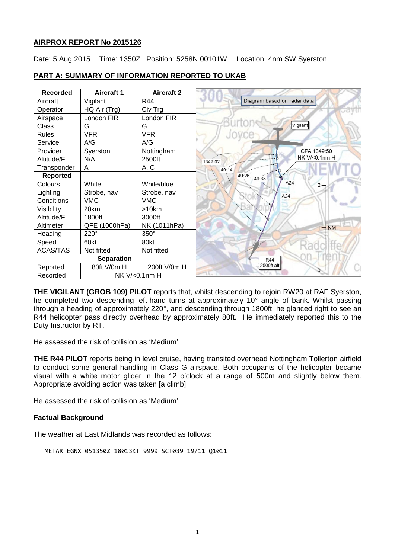# **AIRPROX REPORT No 2015126**

Date: 5 Aug 2015 Time: 1350Z Position: 5258N 00101W Location: 4nm SW Syerston

| <b>Recorded</b>   | <b>Aircraft 1</b> | <b>Aircraft 2</b> |                             |
|-------------------|-------------------|-------------------|-----------------------------|
| Aircraft          | Vigilant          | R44               | Diagram based on radar data |
| Operator          | HQ Air (Trg)      | Civ Trg           |                             |
| Airspace          | London FIR        | London FIR        |                             |
| Class             | G                 | G                 | Vigilant                    |
| <b>Rules</b>      | <b>VFR</b>        | <b>VFR</b>        |                             |
| Service           | A/G               | A/G               |                             |
| Provider          | Syerston          | Nottingham        | CPA 1349:50                 |
| Altitude/FL       | N/A               | 2500ft            | NK V/<0.1nm H<br>1349:02    |
| Transponder       | A                 | A, C              | 49:14                       |
| <b>Reported</b>   |                   |                   | 49:26<br>49:38              |
| Colours           | White             | White/blue        | A24<br>2.                   |
| Lighting          | Strobe, nav       | Strobe, nav       | A24                         |
| Conditions        | <b>VMC</b>        | <b>VMC</b>        |                             |
| Visibility        | 20km              | >10km             |                             |
| Altitude/FL       | 1800ft            | 3000ft            |                             |
| Altimeter         | QFE (1000hPa)     | NK (1011hPa)      | <b>NM</b><br>$1 -$          |
| Heading           | 220°              | 350°              |                             |
| Speed             | 60kt              | 80kt              |                             |
| <b>ACAS/TAS</b>   | Not fitted        | Not fitted        |                             |
| <b>Separation</b> |                   |                   | <b>R44</b>                  |
| Reported          | 80ft V/0m H       | 200ft V/0m H      | 2500ft alt<br>n             |
| Recorded          | NK V/<0.1nm H     |                   |                             |

## **PART A: SUMMARY OF INFORMATION REPORTED TO UKAB**

**THE VIGILANT (GROB 109) PILOT** reports that, whilst descending to rejoin RW20 at RAF Syerston, he completed two descending left-hand turns at approximately 10° angle of bank. Whilst passing through a heading of approximately 220°, and descending through 1800ft, he glanced right to see an R44 helicopter pass directly overhead by approximately 80ft. He immediately reported this to the Duty Instructor by RT.

He assessed the risk of collision as 'Medium'.

**THE R44 PILOT** reports being in level cruise, having transited overhead Nottingham Tollerton airfield to conduct some general handling in Class G airspace. Both occupants of the helicopter became visual with a white motor glider in the 12 o'clock at a range of 500m and slightly below them. Appropriate avoiding action was taken [a climb].

He assessed the risk of collision as 'Medium'.

#### **Factual Background**

The weather at East Midlands was recorded as follows:

```
METAR EGNX 051350Z 18013KT 9999 SCT039 19/11 Q1011
```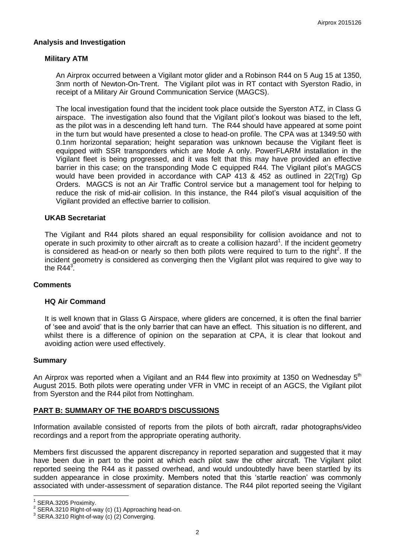### **Analysis and Investigation**

### **Military ATM**

An Airprox occurred between a Vigilant motor glider and a Robinson R44 on 5 Aug 15 at 1350, 3nm north of Newton-On-Trent. The Vigilant pilot was in RT contact with Syerston Radio, in receipt of a Military Air Ground Communication Service (MAGCS).

The local investigation found that the incident took place outside the Syerston ATZ, in Class G airspace. The investigation also found that the Vigilant pilot's lookout was biased to the left, as the pilot was in a descending left hand turn. The R44 should have appeared at some point in the turn but would have presented a close to head-on profile. The CPA was at 1349:50 with 0.1nm horizontal separation; height separation was unknown because the Vigilant fleet is equipped with SSR transponders which are Mode A only. PowerFLARM installation in the Vigilant fleet is being progressed, and it was felt that this may have provided an effective barrier in this case; on the transponding Mode C equipped R44. The Vigilant pilot's MAGCS would have been provided in accordance with CAP 413 & 452 as outlined in 22(Trg) Gp Orders. MAGCS is not an Air Traffic Control service but a management tool for helping to reduce the risk of mid-air collision. In this instance, the R44 pilot's visual acquisition of the Vigilant provided an effective barrier to collision.

#### **UKAB Secretariat**

The Vigilant and R44 pilots shared an equal responsibility for collision avoidance and not to operate in such proximity to other aircraft as to create a collision hazard<sup>1</sup>. If the incident geometry is considered as head-on or nearly so then both pilots were required to turn to the right<sup>2</sup>. If the incident geometry is considered as converging then the Vigilant pilot was required to give way to the R44 $^3$ .

#### **Comments**

# **HQ Air Command**

It is well known that in Glass G Airspace, where gliders are concerned, it is often the final barrier of 'see and avoid' that is the only barrier that can have an effect. This situation is no different, and whilst there is a difference of opinion on the separation at CPA, it is clear that lookout and avoiding action were used effectively.

#### **Summary**

An Airprox was reported when a Vigilant and an R44 flew into proximity at 1350 on Wednesday 5<sup>th</sup> August 2015. Both pilots were operating under VFR in VMC in receipt of an AGCS, the Vigilant pilot from Syerston and the R44 pilot from Nottingham.

# **PART B: SUMMARY OF THE BOARD'S DISCUSSIONS**

Information available consisted of reports from the pilots of both aircraft, radar photographs/video recordings and a report from the appropriate operating authority.

Members first discussed the apparent discrepancy in reported separation and suggested that it may have been due in part to the point at which each pilot saw the other aircraft. The Vigilant pilot reported seeing the R44 as it passed overhead, and would undoubtedly have been startled by its sudden appearance in close proximity. Members noted that this 'startle reaction' was commonly associated with under-assessment of separation distance. The R44 pilot reported seeing the Vigilant

 $\overline{a}$ 

<sup>1</sup> SERA.3205 Proximity.

 $2^{2}$  SERA.3210 Right-of-way (c) (1) Approaching head-on.

 $^3$  SERA.3210 Right-of-way (c) (2) Converging.